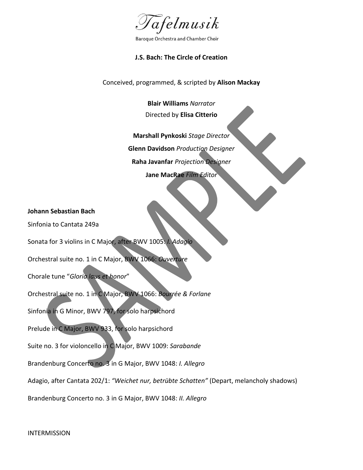

**Baroque Orchestra and Chamber Choir** 

## **J.S. Bach: The Circle of Creation**

Conceived, programmed, & scripted by **Alison Mackay**

**Blair Williams** *Narrator* Directed by **Elisa Citterio**

**Marshall Pynkoski** *Stage Director* **Glenn Davidson** *Production Designer* **Raha Javanfar** *Projection Designer* **Jane MacRae** *Film Editor*

**Johann Sebastian Bach**

Sinfonia to Cantata 249a

Sonata for 3 violins in C Major, after BWV 1005: *I. Adagio*

Orchestral suite no. 1 in C Major, BWV 1066: *Ouverture*

Chorale tune "*Gloria laus et honor*"

Orchestral suite no. 1 in C Major, BWV 1066: *Bourrée & Forlane*

Sinfonia in G Minor, BWV 797, for solo harpsichord

Prelude in C Major, BWV 933, for solo harpsichord

Suite no. 3 for violoncello in C Major, BWV 1009: *Sarabande*

Brandenburg Concerto no. 3 in G Major, BWV 1048: *I. Allegro*

Adagio, after Cantata 202/1: *"Weichet nur, betrübte Schatten"* (Depart, melancholy shadows)

Brandenburg Concerto no. 3 in G Major, BWV 1048: *II. Allegro*

INTERMISSION